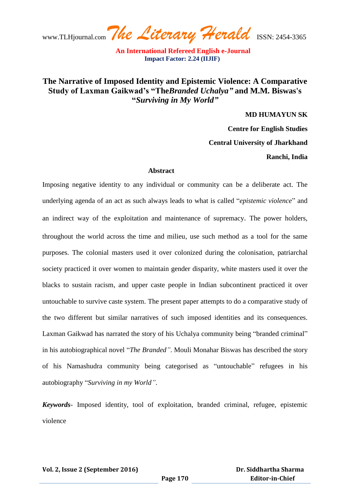## **The Narrative of Imposed Identity and Epistemic Violence: A Comparative Study of Laxman Gaikwad's "The***Branded Uchalya"* **and M.M. Biswas's "***Surviving in My World"*

**MD HUMAYUN SK**

**Centre for English Studies**

**Central University of Jharkhand**

**Ranchi, India**

### **Abstract**

Imposing negative identity to any individual or community can be a deliberate act. The underlying agenda of an act as such always leads to what is called "*epistemic violence*" and an indirect way of the exploitation and maintenance of supremacy. The power holders, throughout the world across the time and milieu, use such method as a tool for the same purposes. The colonial masters used it over colonized during the colonisation, patriarchal society practiced it over women to maintain gender disparity, white masters used it over the blacks to sustain racism, and upper caste people in Indian subcontinent practiced it over untouchable to survive caste system. The present paper attempts to do a comparative study of the two different but similar narratives of such imposed identities and its consequences. Laxman Gaikwad has narrated the story of his Uchalya community being "branded criminal" in his autobiographical novel "*The Branded"*. Mouli Monahar Biswas has described the story of his Namashudra community being categorised as "untouchable" refugees in his autobiography "*Surviving in my World"*.

*Keywords*- Imposed identity, tool of exploitation, branded criminal, refugee, epistemic violence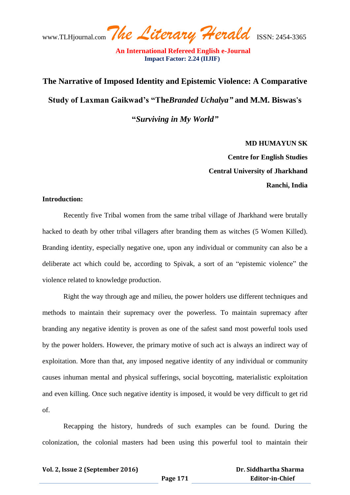# **The Narrative of Imposed Identity and Epistemic Violence: A Comparative Study of Laxman Gaikwad's "The***Branded Uchalya"* **and M.M. Biswas's "***Surviving in My World"*

**MD HUMAYUN SK Centre for English Studies Central University of Jharkhand Ranchi, India**

### **Introduction:**

Recently five Tribal women from the same tribal village of Jharkhand were brutally hacked to death by other tribal villagers after branding them as witches (5 Women Killed). Branding identity, especially negative one, upon any individual or community can also be a deliberate act which could be, according to Spivak, a sort of an "epistemic violence" the violence related to knowledge production.

Right the way through age and milieu, the power holders use different techniques and methods to maintain their supremacy over the powerless. To maintain supremacy after branding any negative identity is proven as one of the safest sand most powerful tools used by the power holders. However, the primary motive of such act is always an indirect way of exploitation. More than that, any imposed negative identity of any individual or community causes inhuman mental and physical sufferings, social boycotting, materialistic exploitation and even killing. Once such negative identity is imposed, it would be very difficult to get rid of.

Recapping the history, hundreds of such examples can be found. During the colonization, the colonial masters had been using this powerful tool to maintain their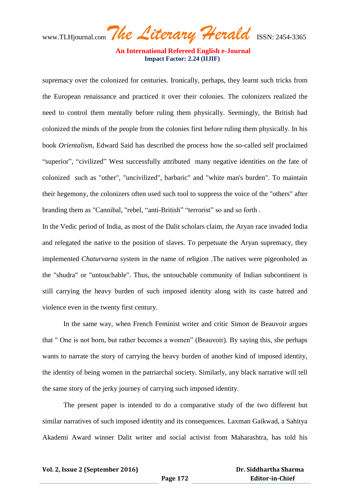www.TLHjournal.com*The Literary Herald*ISSN: 2454-3365

supremacy over the colonized for centuries. Ironically, perhaps, they learnt such tricks from the European renaissance and practiced it over their colonies. The colonizers realized the need to control them mentally before ruling them physically. Seemingly, the British had colonized the minds of the people from the colonies first before ruling them physically. In his book *Orientalism,* Edward Said has described the process how the so-called self proclaimed "superior", "civilized" West successfully attributed many negative identities on the fate of colonized such as "other", "uncivilized", barbaric" and "white man's burden". To maintain their hegemony, the colonizers often used such tool to suppress the voice of the "others" after branding them as "Cannibal, "rebel, "anti-British" "terrorist" so and so forth .

In the Vedic period of India, as most of the Dalit scholars claim, the Aryan race invaded India and relegated the native to the position of slaves. To perpetuate the Aryan supremacy, they implemented *Chaturvarna* system in the name of religion .The natives were pigeonholed as the "shudra" or "untouchable". Thus, the untouchable community of Indian subcontinent is still carrying the heavy burden of such imposed identity along with its caste hatred and violence even in the twenty first century.

In the same way, when French Feminist writer and critic Simon de Beauvoir argues that " One is not born, but rather becomes a women" (Beauvoir). By saying this, she perhaps wants to narrate the story of carrying the heavy burden of another kind of imposed identity, the identity of being women in the patriarchal society. Similarly, any black narrative will tell the same story of the jerky journey of carrying such imposed identity.

The present paper is intended to do a comparative study of the two different but similar narratives of such imposed identity and its consequences. Laxman Gaikwad, a Sahitya Akademi Award winner Dalit writer and social activist from Maharashtra, has told his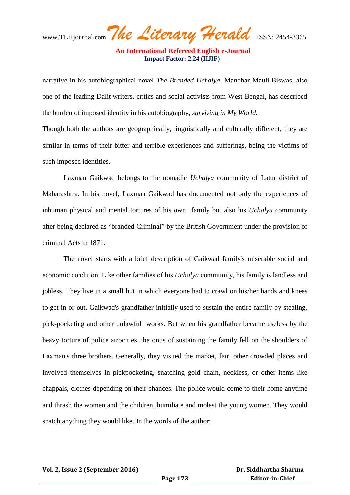www.TLHjournal.com*The Literary Herald*ISSN: 2454-3365

 **An International Refereed English e-Journal Impact Factor: 2.24 (IIJIF)**

narrative in his autobiographical novel *The Branded Uchalya*. Manohar Mauli Biswas, also one of the leading Dalit writers, critics and social activists from West Bengal, has described the burden of imposed identity in his autobiography, *surviving in My World.*

Though both the authors are geographically, linguistically and culturally different, they are similar in terms of their bitter and terrible experiences and sufferings, being the victims of such imposed identities.

Laxman Gaikwad belongs to the nomadic *Uchalya* community of Latur district of Maharashtra. In his novel, Laxman Gaikwad has documented not only the experiences of inhuman physical and mental tortures of his own family but also his *Uchalya* community after being declared as "branded Criminal" by the British Government under the provision of criminal Acts in 1871.

The novel starts with a brief description of Gaikwad family's miserable social and economic condition. Like other families of his *Uchalya* community, his family is landless and jobless. They live in a small hut in which everyone had to crawl on his/her hands and knees to get in or out. Gaikwad's grandfather initially used to sustain the entire family by stealing, pick-pocketing and other unlawful works. But when his grandfather became useless by the heavy torture of police atrocities, the onus of sustaining the family fell on the shoulders of Laxman's three brothers. Generally, they visited the market, fair, other crowded places and involved themselves in pickpocketing, snatching gold chain, neckless, or other items like chappals, clothes depending on their chances. The police would come to their home anytime and thrash the women and the children, humiliate and molest the young women. They would snatch anything they would like. In the words of the author: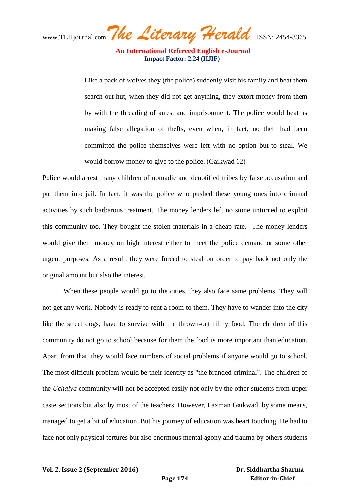www.TLHjournal.com*The Literary Herald*ISSN: 2454-3365

Like a pack of wolves they (the police) suddenly visit his family and beat them search out hut, when they did not get anything, they extort money from them by with the threading of arrest and imprisonment. The police would beat us making false allegation of thefts, even when, in fact, no theft had been committed the police themselves were left with no option but to steal. We would borrow money to give to the police. (Gaikwad 62)

Police would arrest many children of nomadic and denotified tribes by false accusation and put them into jail. In fact, it was the police who pushed these young ones into criminal activities by such barbarous treatment. The money lenders left no stone unturned to exploit this community too. They bought the stolen materials in a cheap rate. The money lenders would give them money on high interest either to meet the police demand or some other urgent purposes. As a result, they were forced to steal on order to pay back not only the original amount but also the interest.

When these people would go to the cities, they also face same problems. They will not get any work. Nobody is ready to rent a room to them. They have to wander into the city like the street dogs, have to survive with the thrown-out filthy food. The children of this community do not go to school because for them the food is more important than education. Apart from that, they would face numbers of social problems if anyone would go to school. The most difficult problem would be their identity as "the branded criminal". The children of the *Uchalya* community will not be accepted easily not only by the other students from upper caste sections but also by most of the teachers. However, Laxman Gaikwad, by some means, managed to get a bit of education. But his journey of education was heart touching. He had to face not only physical tortures but also enormous mental agony and trauma by others students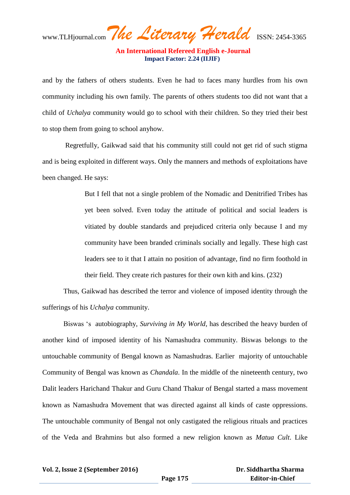www.TLHjournal.com*The Literary Herald*ISSN: 2454-3365  **An International Refereed English e-Journal Impact Factor: 2.24 (IIJIF)**

and by the fathers of others students. Even he had to faces many hurdles from his own community including his own family. The parents of others students too did not want that a child of *Uchalya* community would go to school with their children. So they tried their best to stop them from going to school anyhow.

Regretfully, Gaikwad said that his community still could not get rid of such stigma and is being exploited in different ways. Only the manners and methods of exploitations have been changed. He says:

> But I fell that not a single problem of the Nomadic and Denitrified Tribes has yet been solved. Even today the attitude of political and social leaders is vitiated by double standards and prejudiced criteria only because I and my community have been branded criminals socially and legally. These high cast leaders see to it that I attain no position of advantage, find no firm foothold in their field. They create rich pastures for their own kith and kins. (232)

Thus, Gaikwad has described the terror and violence of imposed identity through the sufferings of his *Uchalya* community.

Biswas "s autobiography, *Surviving in My World*, has described the heavy burden of another kind of imposed identity of his Namashudra community. Biswas belongs to the untouchable community of Bengal known as Namashudras*.* Earlier majority of untouchable Community of Bengal was known as *Chandala*. In the middle of the nineteenth century, two Dalit leaders Harichand Thakur and Guru Chand Thakur of Bengal started a mass movement known as Namashudra Movement that was directed against all kinds of caste oppressions. The untouchable community of Bengal not only castigated the religious rituals and practices of the Veda and Brahmins but also formed a new religion known as *Matua Cult*. Like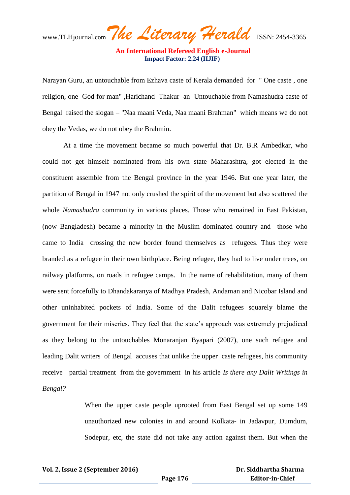www.TLHjournal.com*The Literary Herald*ISSN: 2454-3365

 **An International Refereed English e-Journal Impact Factor: 2.24 (IIJIF)**

Narayan Guru, an untouchable from Ezhava caste of Kerala demanded for " One caste , one religion, one God for man" ,Harichand Thakur an Untouchable from Namashudra caste of Bengal raised the slogan – "Naa maani Veda, Naa maani Brahman" which means we do not obey the Vedas, we do not obey the Brahmin.

At a time the movement became so much powerful that Dr. B.R Ambedkar, who could not get himself nominated from his own state Maharashtra, got elected in the constituent assemble from the Bengal province in the year 1946. But one year later, the partition of Bengal in 1947 not only crushed the spirit of the movement but also scattered the whole *Namashudra* community in various places. Those who remained in East Pakistan, (now Bangladesh) became a minority in the Muslim dominated country and those who came to India crossing the new border found themselves as refugees. Thus they were branded as a refugee in their own birthplace. Being refugee, they had to live under trees, on railway platforms, on roads in refugee camps. In the name of rehabilitation, many of them were sent forcefully to Dhandakaranya of Madhya Pradesh, Andaman and Nicobar Island and other uninhabited pockets of India. Some of the Dalit refugees squarely blame the government for their miseries. They feel that the state's approach was extremely prejudiced as they belong to the untouchables Monaranjan Byapari (2007), one such refugee and leading Dalit writers of Bengal accuses that unlike the upper caste refugees, his community receive partial treatment from the government in his article *Is there any Dalit Writings in Bengal?* 

> When the upper caste people uprooted from East Bengal set up some 149 unauthorized new colonies in and around Kolkata- in Jadavpur, Dumdum, Sodepur, etc, the state did not take any action against them. But when the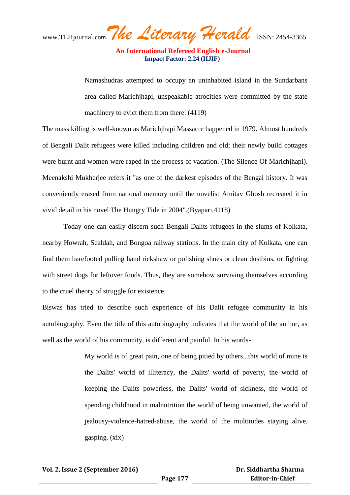www.TLHjournal.com*The Literary Herald*ISSN: 2454-3365

Namashudras attempted to occupy an uninhabited island in the Sundarbans area called Marichjhapi, unspeakable atrocities were committed by the state machinery to evict them from there. (4119)

The mass killing is well-known as Marichjhapi Massacre happened in 1979. Almost hundreds of Bengali Dalit refugees were killed including children and old; their newly build cottages were burnt and women were raped in the process of vacation. (The Silence Of Marichjhapi). Meenakshi Mukherjee refers it "as one of the darkest episodes of the Bengal history. It was conveniently erased from national memory until the novelist Amitav Ghosh recreated it in vivid detail in his novel The Hungry Tide in 2004".(Byapari,4118)

Today one can easily discern such Bengali Dalits refugees in the slums of Kolkata, nearby Howrah, Sealdah, and Bongoa railway stations. In the main city of Kolkata, one can find them barefooted pulling hand rickshaw or polishing shoes or clean dustbins, or fighting with street dogs for leftover foods. Thus, they are somehow surviving themselves according to the cruel theory of struggle for existence.

Biswas has tried to describe such experience of his Dalit refugee community in his autobiography. Even the title of this autobiography indicates that the world of the author, as well as the world of his community, is different and painful. In his words-

> My world is of great pain, one of being pitied by others...this world of mine is the Dalits' world of illiteracy, the Dalits' world of poverty, the world of keeping the Dalits powerless, the Dalits' world of sickness, the world of spending childhood in malnutrition the world of being unwanted, the world of jealousy-violence-hatred-abuse, the world of the multitudes staying alive, gasping. (xix)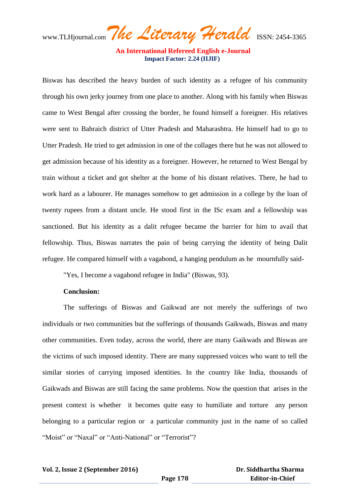www.TLHjournal.com*The Literary Herald*ISSN: 2454-3365

Biswas has described the heavy burden of such identity as a refugee of his community through his own jerky journey from one place to another. Along with his family when Biswas came to West Bengal after crossing the border, he found himself a foreigner. His relatives were sent to Bahraich district of Utter Pradesh and Maharashtra. He himself had to go to Utter Pradesh. He tried to get admission in one of the collages there but he was not allowed to get admission because of his identity as a foreigner. However, he returned to West Bengal by train without a ticket and got shelter at the home of his distant relatives. There, he had to work hard as a labourer. He manages somehow to get admission in a college by the loan of twenty rupees from a distant uncle. He stood first in the ISc exam and a fellowship was sanctioned. But his identity as a dalit refugee became the barrier for him to avail that fellowship. Thus, Biswas narrates the pain of being carrying the identity of being Dalit refugee. He compared himself with a vagabond, a hanging pendulum as he mournfully said-

"Yes, I become a vagabond refugee in India" (Biswas, 93).

#### **Conclusion:**

The sufferings of Biswas and Gaikwad are not merely the sufferings of two individuals or two communities but the sufferings of thousands Gaikwads, Biswas and many other communities. Even today, across the world, there are many Gaikwads and Biswas are the victims of such imposed identity. There are many suppressed voices who want to tell the similar stories of carrying imposed identities. In the country like India, thousands of Gaikwads and Biswas are still facing the same problems. Now the question that arises in the present context is whether it becomes quite easy to humiliate and torture any person belonging to a particular region or a particular community just in the name of so called "Moist" or "Naxal" or "Anti-National" or "Terrorist"?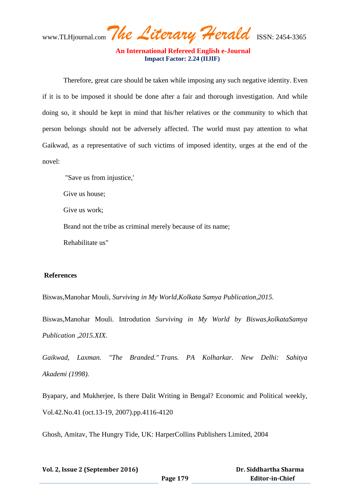www.TLHjournal.com*The Literary Herald*ISSN: 2454-3365

Therefore, great care should be taken while imposing any such negative identity. Even if it is to be imposed it should be done after a fair and thorough investigation. And while doing so, it should be kept in mind that his/her relatives or the community to which that person belongs should not be adversely affected. The world must pay attention to what Gaikwad, as a representative of such victims of imposed identity, urges at the end of the novel:

"Save us from injustice,'

Give us house;

Give us work;

Brand not the tribe as criminal merely because of its name;

Rehabilitate us"

#### **References**

Biswas,Manohar Mouli, *Surviving in My World,Kolkata Samya Publication,2015.*

Biswas,Manohar Mouli. Introdution *Surviving in My World by Biswas,kolkataSamya Publication ,2015.XIX.*

*Gaikwad, Laxman. "The Branded." Trans. PA Kolharkar. New Delhi: Sahitya Akademi (1998).*

Byapary, and Mukherjee, Is there Dalit Writing in Bengal? Economic and Political weekly, Vol.42.No.41 (oct.13-19, 2007).pp.4116-4120

Ghosh, Amitav, The Hungry Tide, UK: HarperCollins Publishers Limited, 2004